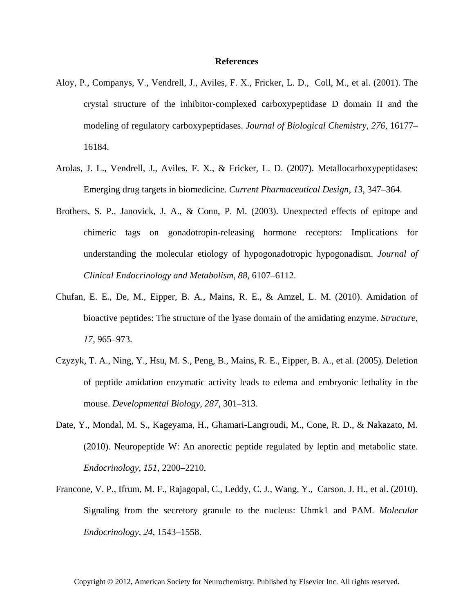## **References**

- Aloy, P., Companys, V., Vendrell, J., Aviles, F. X., Fricker, L. D., Coll, M., et al. (2001). The crystal structure of the inhibitor-complexed carboxypeptidase D domain II and the modeling of regulatory carboxypeptidases. *Journal of Biological Chemistry*, *276*, 16177– 16184.
- Arolas, J. L., Vendrell, J., Aviles, F. X., & Fricker, L. D. (2007). Metallocarboxypeptidases: Emerging drug targets in biomedicine. *Current Pharmaceutical Design*, *13*, 347–364.
- Brothers, S. P., Janovick, J. A., & Conn, P. M. (2003). Unexpected effects of epitope and chimeric tags on gonadotropin-releasing hormone receptors: Implications for understanding the molecular etiology of hypogonadotropic hypogonadism. *Journal of Clinical Endocrinology and Metabolism*, *88*, 6107–6112.
- Chufan, E. E., De, M., Eipper, B. A., Mains, R. E., & Amzel, L. M. (2010). Amidation of bioactive peptides: The structure of the lyase domain of the amidating enzyme. *Structure*, *17*, 965–973.
- Czyzyk, T. A., Ning, Y., Hsu, M. S., Peng, B., Mains, R. E., Eipper, B. A., et al. (2005). Deletion of peptide amidation enzymatic activity leads to edema and embryonic lethality in the mouse. *Developmental Biology*, *287*, 301–313.
- Date, Y., Mondal, M. S., Kageyama, H., Ghamari-Langroudi, M., Cone, R. D., & Nakazato, M. (2010). Neuropeptide W: An anorectic peptide regulated by leptin and metabolic state. *Endocrinology*, *151*, 2200–2210.
- Francone, V. P., Ifrum, M. F., Rajagopal, C., Leddy, C. J., Wang, Y., Carson, J. H., et al. (2010). Signaling from the secretory granule to the nucleus: Uhmk1 and PAM. *Molecular Endocrinology*, *24*, 1543–1558.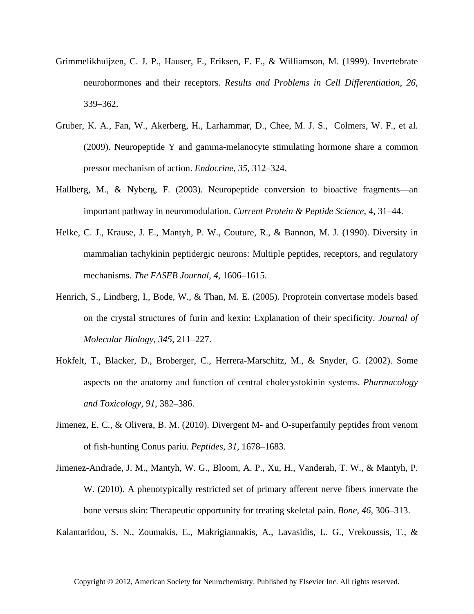- Grimmelikhuijzen, C. J. P., Hauser, F., Eriksen, F. F., & Williamson, M. (1999). Invertebrate neurohormones and their receptors. *Results and Problems in Cell Differentiation*, *26*, 339–362.
- Gruber, K. A., Fan, W., Akerberg, H., Larhammar, D., Chee, M. J. S., Colmers, W. F., et al. (2009). Neuropeptide Y and gamma-melanocyte stimulating hormone share a common pressor mechanism of action. *Endocrine*, *35*, 312–324.
- Hallberg, M., & Nyberg, F. (2003). Neuropeptide conversion to bioactive fragments—an important pathway in neuromodulation. *Current Protein & Peptide Science*, 4, 31–44.
- Helke, C. J., Krause, J. E., Mantyh, P. W., Couture, R., & Bannon, M. J. (1990). Diversity in mammalian tachykinin peptidergic neurons: Multiple peptides, receptors, and regulatory mechanisms. *The FASEB Journal*, *4*, 1606–1615.
- Henrich, S., Lindberg, I., Bode, W., & Than, M. E. (2005). Proprotein convertase models based on the crystal structures of furin and kexin: Explanation of their specificity. *Journal of Molecular Biology*, *345*, 211–227.
- Hokfelt, T., Blacker, D., Broberger, C., Herrera-Marschitz, M., & Snyder, G. (2002). Some aspects on the anatomy and function of central cholecystokinin systems. *Pharmacology and Toxicology*, *91*, 382–386.
- Jimenez, E. C., & Olivera, B. M. (2010). Divergent M- and O-superfamily peptides from venom of fish-hunting Conus pariu. *Peptides*, *31*, 1678–1683.
- Jimenez-Andrade, J. M., Mantyh, W. G., Bloom, A. P., Xu, H., Vanderah, T. W., & Mantyh, P. W. (2010). A phenotypically restricted set of primary afferent nerve fibers innervate the bone versus skin: Therapeutic opportunity for treating skeletal pain. *Bone*, *46*, 306–313.

Kalantaridou, S. N., Zoumakis, E., Makrigiannakis, A., Lavasidis, L. G., Vrekoussis, T., &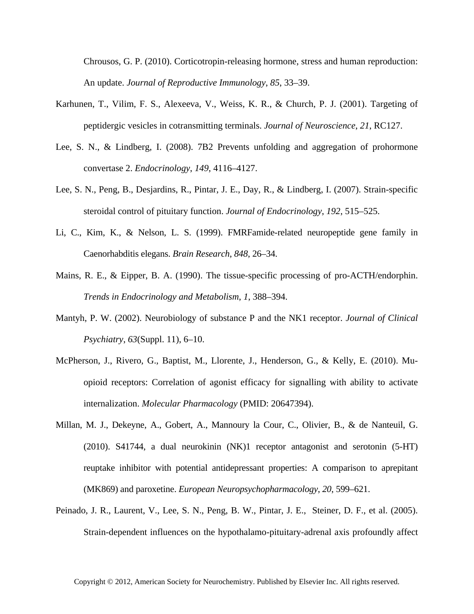Chrousos, G. P. (2010). Corticotropin-releasing hormone, stress and human reproduction: An update. *Journal of Reproductive Immunology*, *85*, 33–39.

- Karhunen, T., Vilim, F. S., Alexeeva, V., Weiss, K. R., & Church, P. J. (2001). Targeting of peptidergic vesicles in cotransmitting terminals. *Journal of Neuroscience*, *21*, RC127.
- Lee, S. N., & Lindberg, I. (2008). 7B2 Prevents unfolding and aggregation of prohormone convertase 2. *Endocrinology*, *149*, 4116–4127.
- Lee, S. N., Peng, B., Desjardins, R., Pintar, J. E., Day, R., & Lindberg, I. (2007). Strain-specific steroidal control of pituitary function. *Journal of Endocrinology*, *192*, 515–525.
- Li, C., Kim, K., & Nelson, L. S. (1999). FMRFamide-related neuropeptide gene family in Caenorhabditis elegans. *Brain Research*, *848*, 26–34.
- Mains, R. E., & Eipper, B. A. (1990). The tissue-specific processing of pro-ACTH/endorphin. *Trends in Endocrinology and Metabolism*, *1*, 388–394.
- Mantyh, P. W. (2002). Neurobiology of substance P and the NK1 receptor. *Journal of Clinical Psychiatry*, *63*(Suppl. 11), 6–10.
- McPherson, J., Rivero, G., Baptist, M., Llorente, J., Henderson, G., & Kelly, E. (2010). Muopioid receptors: Correlation of agonist efficacy for signalling with ability to activate internalization. *Molecular Pharmacology* (PMID: 20647394).
- Millan, M. J., Dekeyne, A., Gobert, A., Mannoury la Cour, C., Olivier, B., & de Nanteuil, G. (2010). S41744, a dual neurokinin (NK)1 receptor antagonist and serotonin (5-HT) reuptake inhibitor with potential antidepressant properties: A comparison to aprepitant (MK869) and paroxetine. *European Neuropsychopharmacology*, *20*, 599–621.
- Peinado, J. R., Laurent, V., Lee, S. N., Peng, B. W., Pintar, J. E., Steiner, D. F., et al. (2005). Strain-dependent influences on the hypothalamo-pituitary-adrenal axis profoundly affect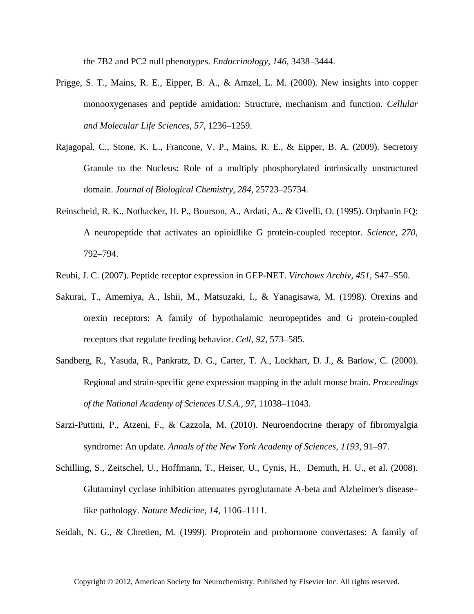the 7B2 and PC2 null phenotypes. *Endocrinology*, *146*, 3438–3444.

- Prigge, S. T., Mains, R. E., Eipper, B. A., & Amzel, L. M. (2000). New insights into copper monooxygenases and peptide amidation: Structure, mechanism and function. *Cellular and Molecular Life Sciences*, *57*, 1236–1259.
- Rajagopal, C., Stone, K. L., Francone, V. P., Mains, R. E., & Eipper, B. A. (2009). Secretory Granule to the Nucleus: Role of a multiply phosphorylated intrinsically unstructured domain. *Journal of Biological Chemistry*, *284*, 25723–25734.
- Reinscheid, R. K., Nothacker, H. P., Bourson, A., Ardati, A., & Civelli, O. (1995). Orphanin FQ: A neuropeptide that activates an opioidlike G protein-coupled receptor. *Science*, *270*, 792–794.
- Reubi, J. C. (2007). Peptide receptor expression in GEP-NET. *Virchows Archiv*, *451*, S47–S50.
- Sakurai, T., Amemiya, A., Ishii, M., Matsuzaki, I., & Yanagisawa, M. (1998). Orexins and orexin receptors: A family of hypothalamic neuropeptides and G protein-coupled receptors that regulate feeding behavior. *Cell*, *92*, 573–585.
- Sandberg, R., Yasuda, R., Pankratz, D. G., Carter, T. A., Lockhart, D. J., & Barlow, C. (2000). Regional and strain-specific gene expression mapping in the adult mouse brain. *Proceedings of the National Academy of Sciences U.S.A.*, *97*, 11038–11043.
- Sarzi-Puttini, P., Atzeni, F., & Cazzola, M. (2010). Neuroendocrine therapy of fibromyalgia syndrome: An update. *Annals of the New York Academy of Sciences*, *1193*, 91–97.
- Schilling, S., Zeitschel, U., Hoffmann, T., Heiser, U., Cynis, H., Demuth, H. U., et al. (2008). Glutaminyl cyclase inhibition attenuates pyroglutamate A-beta and Alzheimer's disease– like pathology. *Nature Medicine*, *14*, 1106–1111.

Seidah, N. G., & Chretien, M. (1999). Proprotein and prohormone convertases: A family of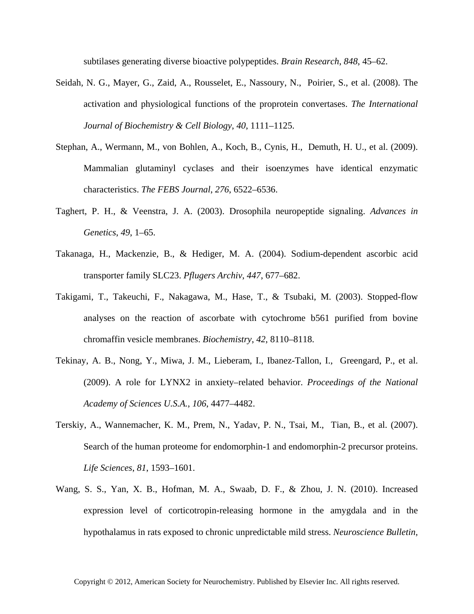subtilases generating diverse bioactive polypeptides. *Brain Research*, *848*, 45–62.

- Seidah, N. G., Mayer, G., Zaid, A., Rousselet, E., Nassoury, N., Poirier, S., et al. (2008). The activation and physiological functions of the proprotein convertases. *The International Journal of Biochemistry & Cell Biology*, *40*, 1111–1125.
- Stephan, A., Wermann, M., von Bohlen, A., Koch, B., Cynis, H., Demuth, H. U., et al. (2009). Mammalian glutaminyl cyclases and their isoenzymes have identical enzymatic characteristics. *The FEBS Journal*, *276*, 6522–6536.
- Taghert, P. H., & Veenstra, J. A. (2003). Drosophila neuropeptide signaling. *Advances in Genetics*, *49*, 1–65.
- Takanaga, H., Mackenzie, B., & Hediger, M. A. (2004). Sodium-dependent ascorbic acid transporter family SLC23. *Pflugers Archiv*, *447*, 677–682.
- Takigami, T., Takeuchi, F., Nakagawa, M., Hase, T., & Tsubaki, M. (2003). Stopped-flow analyses on the reaction of ascorbate with cytochrome b561 purified from bovine chromaffin vesicle membranes. *Biochemistry*, *42*, 8110–8118.
- Tekinay, A. B., Nong, Y., Miwa, J. M., Lieberam, I., Ibanez-Tallon, I., Greengard, P., et al. (2009). A role for LYNX2 in anxiety–related behavior. *Proceedings of the National Academy of Sciences U.S.A.*, *106*, 4477–4482.
- Terskiy, A., Wannemacher, K. M., Prem, N., Yadav, P. N., Tsai, M., Tian, B., et al. (2007). Search of the human proteome for endomorphin-1 and endomorphin-2 precursor proteins. *Life Sciences*, *81*, 1593–1601.
- Wang, S. S., Yan, X. B., Hofman, M. A., Swaab, D. F., & Zhou, J. N. (2010). Increased expression level of corticotropin-releasing hormone in the amygdala and in the hypothalamus in rats exposed to chronic unpredictable mild stress. *Neuroscience Bulletin*,